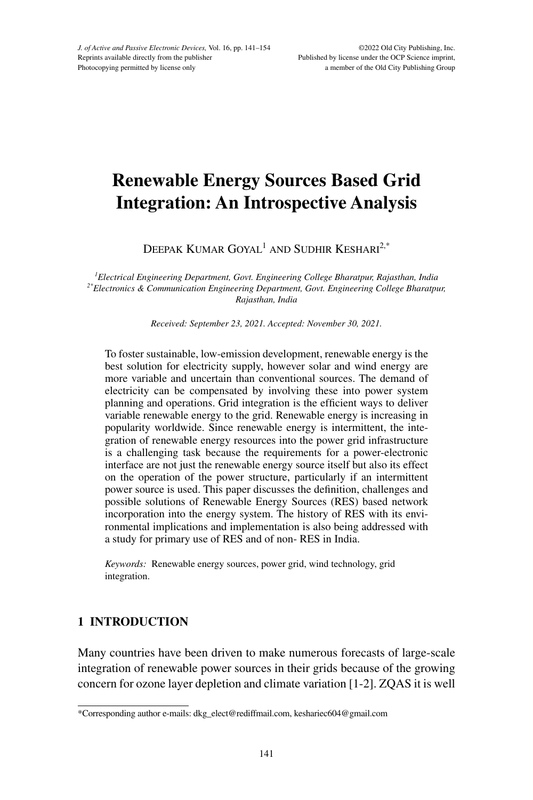# **Renewable Energy Sources Based Grid Integration: An Introspective Analysis**

DEEPAK KUMAR GOYAL<sup>1</sup> AND SUDHIR KESHARI<sup>2,\*</sup>

*1 Electrical Engineering Department, Govt. Engineering College Bharatpur, Rajasthan, India 2\*Electronics & Communication Engineering Department, Govt. Engineering College Bharatpur, Rajasthan, India*

*Received: September 23, 2021. Accepted: November 30, 2021.*

To foster sustainable, low-emission development, renewable energy is the best solution for electricity supply, however solar and wind energy are more variable and uncertain than conventional sources. The demand of electricity can be compensated by involving these into power system planning and operations. Grid integration is the efficient ways to deliver variable renewable energy to the grid. Renewable energy is increasing in popularity worldwide. Since renewable energy is intermittent, the integration of renewable energy resources into the power grid infrastructure is a challenging task because the requirements for a power-electronic interface are not just the renewable energy source itself but also its effect on the operation of the power structure, particularly if an intermittent power source is used. This paper discusses the definition, challenges and possible solutions of Renewable Energy Sources (RES) based network incorporation into the energy system. The history of RES with its environmental implications and implementation is also being addressed with a study for primary use of RES and of non- RES in India.

*Keywords:* Renewable energy sources, power grid, wind technology, grid integration.

# **1 INTRODUCTION**

Many countries have been driven to make numerous forecasts of large-scale integration of renewable power sources in their grids because of the growing concern for ozone layer depletion and climate variation [1-2]. zQAs it is well

<sup>\*</sup>Corresponding author e-mails: dkg\_elect@rediffmail.com, keshariec604@gmail.com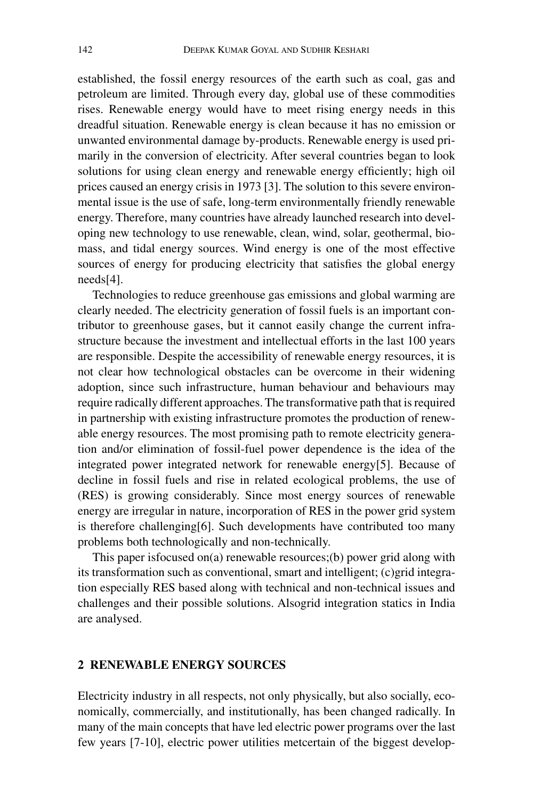established, the fossil energy resources of the earth such as coal, gas and petroleum are limited. Through every day, global use of these commodities rises. Renewable energy would have to meet rising energy needs in this dreadful situation. Renewable energy is clean because it has no emission or unwanted environmental damage by-products. Renewable energy is used primarily in the conversion of electricity. After several countries began to look solutions for using clean energy and renewable energy efficiently; high oil prices caused an energy crisis in 1973 [3]. The solution to this severe environmental issue is the use of safe, long-term environmentally friendly renewable energy. Therefore, many countries have already launched research into developing new technology to use renewable, clean, wind, solar, geothermal, biomass, and tidal energy sources. Wind energy is one of the most effective sources of energy for producing electricity that satisfies the global energy needs[4].

Technologies to reduce greenhouse gas emissions and global warming are clearly needed. The electricity generation of fossil fuels is an important contributor to greenhouse gases, but it cannot easily change the current infrastructure because the investment and intellectual efforts in the last 100 years are responsible. Despite the accessibility of renewable energy resources, it is not clear how technological obstacles can be overcome in their widening adoption, since such infrastructure, human behaviour and behaviours may require radically different approaches. The transformative path that is required in partnership with existing infrastructure promotes the production of renewable energy resources. The most promising path to remote electricity generation and/or elimination of fossil-fuel power dependence is the idea of the integrated power integrated network for renewable energy[5]. Because of decline in fossil fuels and rise in related ecological problems, the use of (RES) is growing considerably. Since most energy sources of renewable energy are irregular in nature, incorporation of RES in the power grid system is therefore challenging[6]. Such developments have contributed too many problems both technologically and non-technically.

This paper isfocused on(a) renewable resources;(b) power grid along with its transformation such as conventional, smart and intelligent; (c)grid integration especially RES based along with technical and non-technical issues and challenges and their possible solutions. Alsogrid integration statics in India are analysed.

# **2 RENEWABLE ENERGY SOURCES**

Electricity industry in all respects, not only physically, but also socially, economically, commercially, and institutionally, has been changed radically. In many of the main concepts that have led electric power programs over the last few years [7-10], electric power utilities metcertain of the biggest develop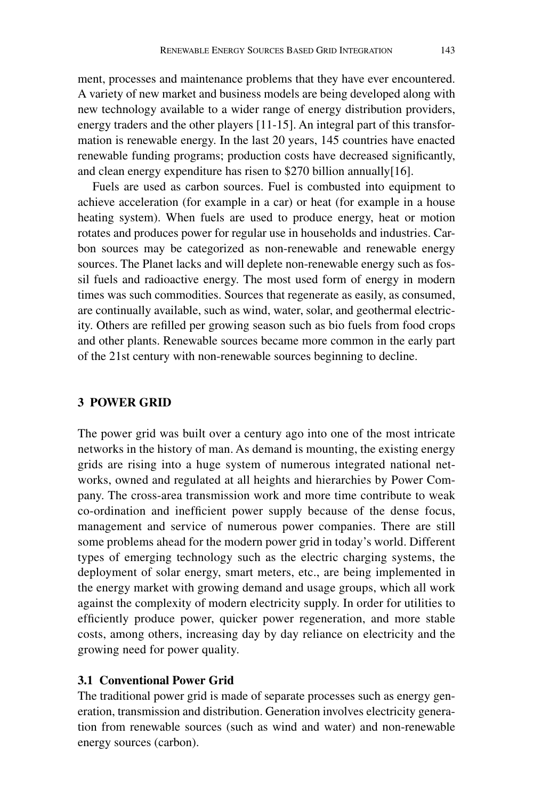ment, processes and maintenance problems that they have ever encountered. A variety of new market and business models are being developed along with new technology available to a wider range of energy distribution providers, energy traders and the other players [11-15]. An integral part of this transformation is renewable energy. In the last 20 years, 145 countries have enacted renewable funding programs; production costs have decreased significantly, and clean energy expenditure has risen to \$270 billion annually[16].

Fuels are used as carbon sources. Fuel is combusted into equipment to achieve acceleration (for example in a car) or heat (for example in a house heating system). When fuels are used to produce energy, heat or motion rotates and produces power for regular use in households and industries. Carbon sources may be categorized as non-renewable and renewable energy sources. The Planet lacks and will deplete non-renewable energy such as fossil fuels and radioactive energy. The most used form of energy in modern times was such commodities. Sources that regenerate as easily, as consumed, are continually available, such as wind, water, solar, and geothermal electricity. Others are refilled per growing season such as bio fuels from food crops and other plants. Renewable sources became more common in the early part of the 21st century with non-renewable sources beginning to decline.

## **3 POWER GRID**

The power grid was built over a century ago into one of the most intricate networks in the history of man. As demand is mounting, the existing energy grids are rising into a huge system of numerous integrated national networks, owned and regulated at all heights and hierarchies by Power Company. The cross-area transmission work and more time contribute to weak co-ordination and inefficient power supply because of the dense focus, management and service of numerous power companies. There are still some problems ahead for the modern power grid in today's world. Different types of emerging technology such as the electric charging systems, the deployment of solar energy, smart meters, etc., are being implemented in the energy market with growing demand and usage groups, which all work against the complexity of modern electricity supply. In order for utilities to efficiently produce power, quicker power regeneration, and more stable costs, among others, increasing day by day reliance on electricity and the growing need for power quality.

## **3.1 Conventional Power Grid**

The traditional power grid is made of separate processes such as energy generation, transmission and distribution. Generation involves electricity generation from renewable sources (such as wind and water) and non-renewable energy sources (carbon).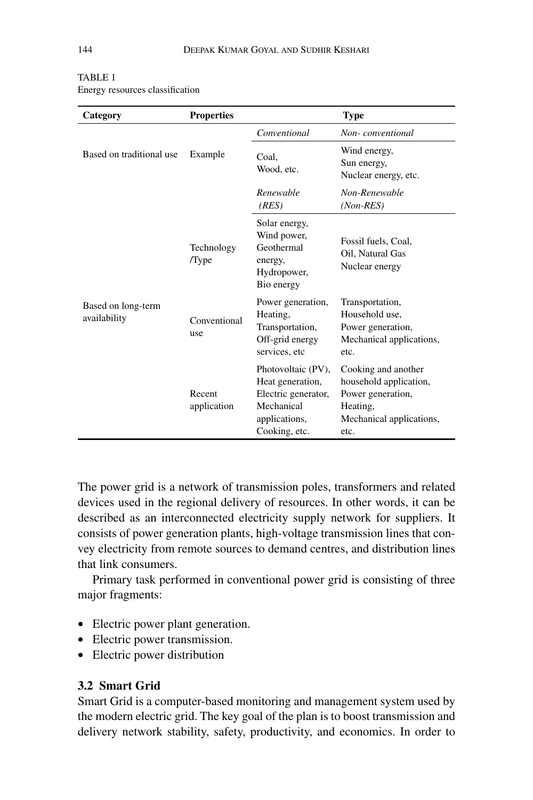| Category                           | <b>Properties</b>     |                                                                                                               | <b>Type</b>                                                                                                        |
|------------------------------------|-----------------------|---------------------------------------------------------------------------------------------------------------|--------------------------------------------------------------------------------------------------------------------|
| Based on traditional use           | Example               | Conventional                                                                                                  | Non-conventional                                                                                                   |
|                                    |                       | Coal,<br>Wood, etc.                                                                                           | Wind energy,<br>Sun energy,<br>Nuclear energy, etc.                                                                |
|                                    |                       | Renewable<br>(RES)                                                                                            | Non-Renewable<br>$(Non-RES)$                                                                                       |
| Based on long-term<br>availability | Technology<br>/Type   | Solar energy,<br>Wind power,<br>Geothermal<br>energy,<br>Hydropower,<br>Bio energy                            | Fossil fuels, Coal,<br>Oil, Natural Gas<br>Nuclear energy                                                          |
|                                    | Conventional<br>use   | Power generation,<br>Heating,<br>Transportation,<br>Off-grid energy<br>services, etc                          | Transportation,<br>Household use,<br>Power generation,<br>Mechanical applications,<br>etc.                         |
|                                    | Recent<br>application | Photovoltaic (PV),<br>Heat generation,<br>Electric generator,<br>Mechanical<br>applications,<br>Cooking, etc. | Cooking and another<br>household application,<br>Power generation,<br>Heating,<br>Mechanical applications,<br>etc. |

#### TABLE 1 Energy resources classification

The power grid is a network of transmission poles, transformers and related devices used in the regional delivery of resources. In other words, it can be described as an interconnected electricity supply network for suppliers. It consists of power generation plants, high-voltage transmission lines that convey electricity from remote sources to demand centres, and distribution lines that link consumers.

Primary task performed in conventional power grid is consisting of three major fragments:

- Electric power plant generation.
- Electric power transmission.
- Electric power distribution

# **3.2 Smart Grid**

Smart Grid is a computer-based monitoring and management system used by the modern electric grid. The key goal of the plan is to boost transmission and delivery network stability, safety, productivity, and economics. In order to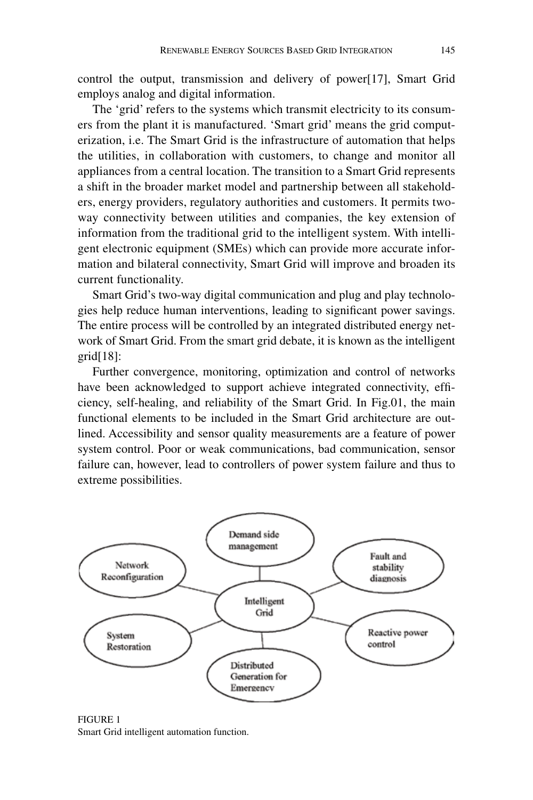control the output, transmission and delivery of power[17], Smart Grid employs analog and digital information.

The 'grid' refers to the systems which transmit electricity to its consumers from the plant it is manufactured. 'Smart grid' means the grid computerization, i.e. The Smart Grid is the infrastructure of automation that helps the utilities, in collaboration with customers, to change and monitor all appliances from a central location. The transition to a Smart Grid represents a shift in the broader market model and partnership between all stakeholders, energy providers, regulatory authorities and customers. It permits twoway connectivity between utilities and companies, the key extension of information from the traditional grid to the intelligent system. With intelligent electronic equipment (SMEs) which can provide more accurate information and bilateral connectivity, Smart Grid will improve and broaden its current functionality.

Smart Grid's two-way digital communication and plug and play technologies help reduce human interventions, leading to significant power savings. The entire process will be controlled by an integrated distributed energy network of Smart Grid. From the smart grid debate, it is known as the intelligent grid[18]:

Further convergence, monitoring, optimization and control of networks have been acknowledged to support achieve integrated connectivity, efficiency, self-healing, and reliability of the Smart Grid. In Fig.01, the main functional elements to be included in the Smart Grid architecture are outlined. Accessibility and sensor quality measurements are a feature of power system control. Poor or weak communications, bad communication, sensor failure can, however, lead to controllers of power system failure and thus to extreme possibilities.



Figure 1 Smart Grid intelligent automation function.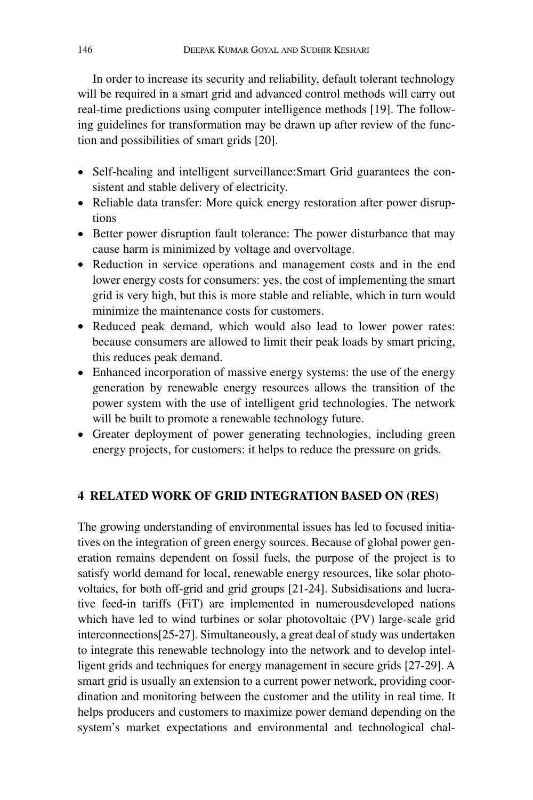In order to increase its security and reliability, default tolerant technology will be required in a smart grid and advanced control methods will carry out real-time predictions using computer intelligence methods [19]. The following guidelines for transformation may be drawn up after review of the function and possibilities of smart grids [20].

- Self-healing and intelligent surveillance:Smart Grid guarantees the consistent and stable delivery of electricity.
- Reliable data transfer: More quick energy restoration after power disruptions
- Better power disruption fault tolerance: The power disturbance that may cause harm is minimized by voltage and overvoltage.
- Reduction in service operations and management costs and in the end lower energy costs for consumers: yes, the cost of implementing the smart grid is very high, but this is more stable and reliable, which in turn would minimize the maintenance costs for customers.
- Reduced peak demand, which would also lead to lower power rates: because consumers are allowed to limit their peak loads by smart pricing, this reduces peak demand.
- Enhanced incorporation of massive energy systems: the use of the energy generation by renewable energy resources allows the transition of the power system with the use of intelligent grid technologies. The network will be built to promote a renewable technology future.
- Greater deployment of power generating technologies, including green energy projects, for customers: it helps to reduce the pressure on grids.

# **4 Related Work of Grid Integration Based on (RES)**

The growing understanding of environmental issues has led to focused initiatives on the integration of green energy sources. Because of global power generation remains dependent on fossil fuels, the purpose of the project is to satisfy world demand for local, renewable energy resources, like solar photovoltaics, for both off-grid and grid groups [21-24]. Subsidisations and lucrative feed-in tariffs (FiT) are implemented in numerousdeveloped nations which have led to wind turbines or solar photovoltaic (PV) large-scale grid interconnections[25-27]. Simultaneously, a great deal of study was undertaken to integrate this renewable technology into the network and to develop intelligent grids and techniques for energy management in secure grids [27-29]. A smart grid is usually an extension to a current power network, providing coordination and monitoring between the customer and the utility in real time. It helps producers and customers to maximize power demand depending on the system's market expectations and environmental and technological chal-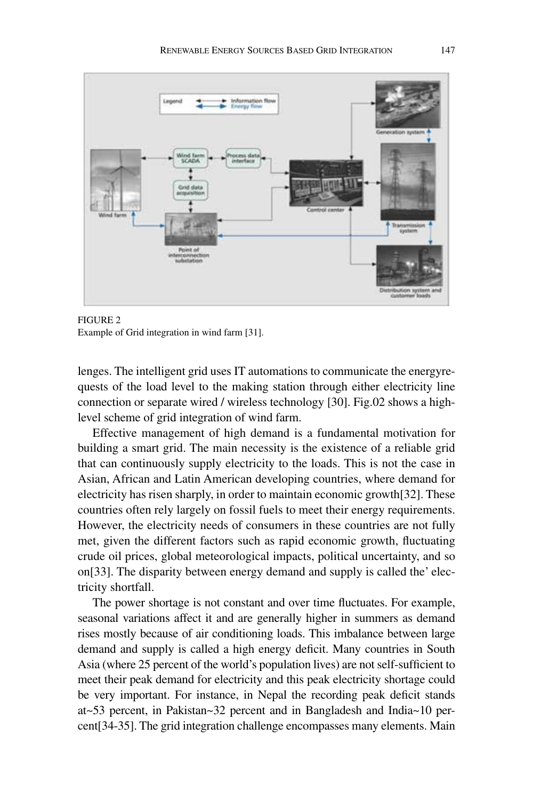

Figure 2 Example of Grid integration in wind farm [31].

lenges. The intelligent grid uses IT automations to communicate the energyrequests of the load level to the making station through either electricity line connection or separate wired / wireless technology [30]. Fig.02 shows a highlevel scheme of grid integration of wind farm.

Effective management of high demand is a fundamental motivation for building a smart grid. The main necessity is the existence of a reliable grid that can continuously supply electricity to the loads. This is not the case in Asian, African and Latin American developing countries, where demand for electricity has risen sharply, in order to maintain economic growth[32]. These countries often rely largely on fossil fuels to meet their energy requirements. However, the electricity needs of consumers in these countries are not fully met, given the different factors such as rapid economic growth, fluctuating crude oil prices, global meteorological impacts, political uncertainty, and so on[33]. The disparity between energy demand and supply is called the' electricity shortfall.

The power shortage is not constant and over time fluctuates. For example, seasonal variations affect it and are generally higher in summers as demand rises mostly because of air conditioning loads. This imbalance between large demand and supply is called a high energy deficit. Many countries in South Asia (where 25 percent of the world's population lives) are not self-sufficient to meet their peak demand for electricity and this peak electricity shortage could be very important. For instance, in Nepal the recording peak deficit stands at~53 percent, in Pakistan~32 percent and in Bangladesh and India~10 percent[34-35]. The grid integration challenge encompasses many elements. Main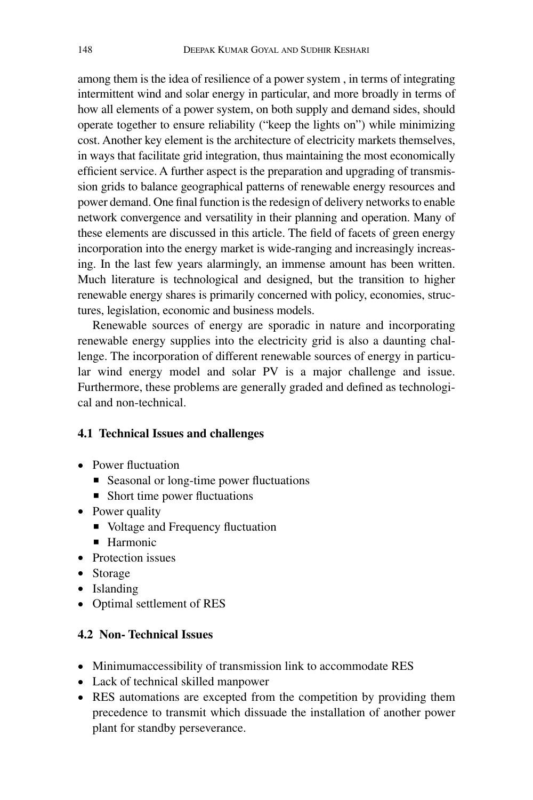among them is the idea of resilience of a power system , in terms of integrating intermittent wind and solar energy in particular, and more broadly in terms of how all elements of a power system, on both supply and demand sides, should operate together to ensure reliability ("keep the lights on") while minimizing cost. Another key element is the architecture of electricity markets themselves, in ways that facilitate grid integration, thus maintaining the most economically efficient service. A further aspect is the preparation and upgrading of transmission grids to balance geographical patterns of renewable energy resources and power demand. One final function is the redesign of delivery networks to enable network convergence and versatility in their planning and operation. Many of these elements are discussed in this article. The field of facets of green energy incorporation into the energy market is wide-ranging and increasingly increasing. In the last few years alarmingly, an immense amount has been written. Much literature is technological and designed, but the transition to higher renewable energy shares is primarily concerned with policy, economies, structures, legislation, economic and business models.

Renewable sources of energy are sporadic in nature and incorporating renewable energy supplies into the electricity grid is also a daunting challenge. The incorporation of different renewable sources of energy in particular wind energy model and solar PV is a major challenge and issue. Furthermore, these problems are generally graded and defined as technological and non-technical.

# **4.1 Technical Issues and challenges**

- Power fluctuation
	- Seasonal or long-time power fluctuations
	- Short time power fluctuations
- Power quality
	- Voltage and Frequency fluctuation
	- **Harmonic**
- Protection issues
- Storage
- Islanding
- Optimal settlement of RES

# **4.2 Non- Technical Issues**

- Minimumaccessibility of transmission link to accommodate RES
- Lack of technical skilled manpower
- RES automations are excepted from the competition by providing them precedence to transmit which dissuade the installation of another power plant for standby perseverance.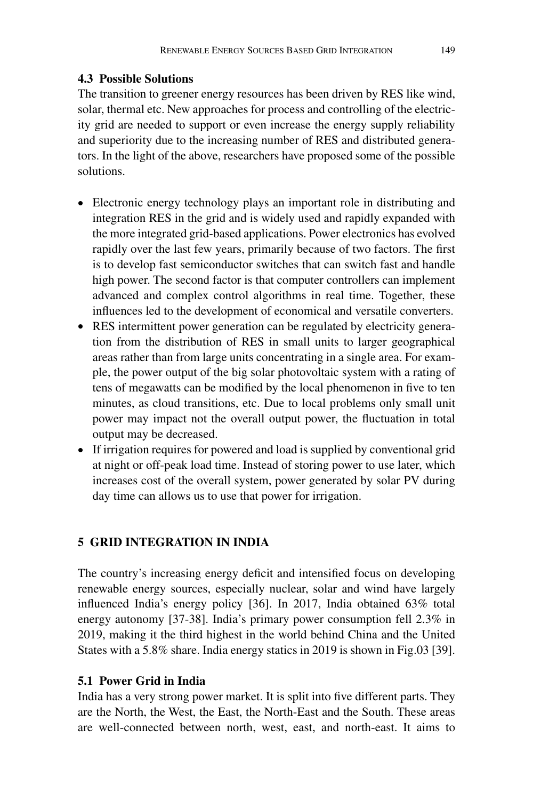# **4.3 Possible Solutions**

The transition to greener energy resources has been driven by RES like wind, solar, thermal etc. New approaches for process and controlling of the electricity grid are needed to support or even increase the energy supply reliability and superiority due to the increasing number of RES and distributed generators. In the light of the above, researchers have proposed some of the possible solutions.

- Electronic energy technology plays an important role in distributing and integration RES in the grid and is widely used and rapidly expanded with the more integrated grid-based applications. Power electronics has evolved rapidly over the last few years, primarily because of two factors. The first is to develop fast semiconductor switches that can switch fast and handle high power. The second factor is that computer controllers can implement advanced and complex control algorithms in real time. Together, these influences led to the development of economical and versatile converters.
- RES intermittent power generation can be regulated by electricity generation from the distribution of RES in small units to larger geographical areas rather than from large units concentrating in a single area. For example, the power output of the big solar photovoltaic system with a rating of tens of megawatts can be modified by the local phenomenon in five to ten minutes, as cloud transitions, etc. Due to local problems only small unit power may impact not the overall output power, the fluctuation in total output may be decreased.
- If irrigation requires for powered and load is supplied by conventional grid at night or off-peak load time. Instead of storing power to use later, which increases cost of the overall system, power generated by solar PV during day time can allows us to use that power for irrigation.

# **5 GRID INTEGRATION IN INDIA**

The country's increasing energy deficit and intensified focus on developing renewable energy sources, especially nuclear, solar and wind have largely influenced India's energy policy [36]. In 2017, India obtained 63% total energy autonomy [37-38]. India's primary power consumption fell 2.3% in 2019, making it the third highest in the world behind China and the United States with a 5.8% share. India energy statics in 2019 is shown in Fig.03 [39].

# **5.1 Power Grid in India**

India has a very strong power market. It is split into five different parts. They are the North, the West, the East, the North-East and the South. These areas are well-connected between north, west, east, and north-east. It aims to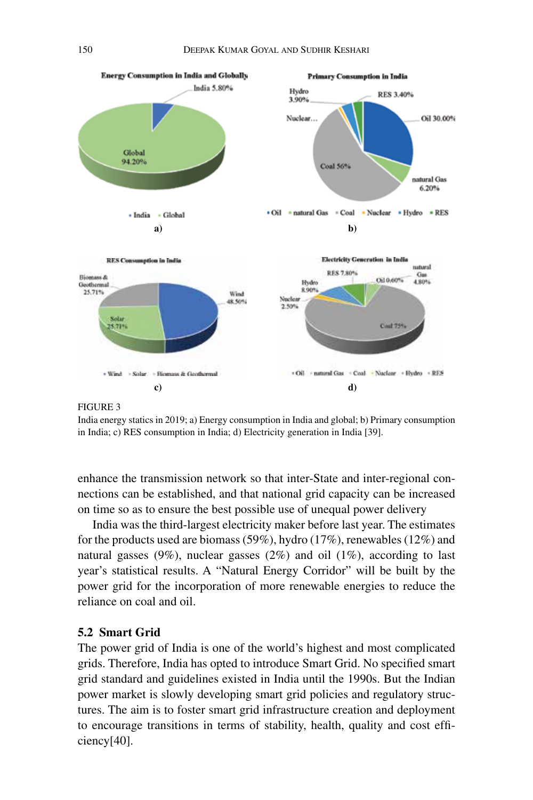

#### Figure 3

India energy statics in 2019; a) Energy consumption in India and global; b) Primary consumption in India; c) RES consumption in India; d) Electricity generation in India [39].

enhance the transmission network so that inter-State and inter-regional connections can be established, and that national grid capacity can be increased on time so as to ensure the best possible use of unequal power delivery

India was the third-largest electricity maker before last year. The estimates for the products used are biomass (59%), hydro (17%), renewables (12%) and natural gasses (9%), nuclear gasses (2%) and oil (1%), according to last year's statistical results. A "Natural Energy Corridor" will be built by the power grid for the incorporation of more renewable energies to reduce the reliance on coal and oil.

# **5.2 Smart Grid**

The power grid of India is one of the world's highest and most complicated grids. Therefore, India has opted to introduce Smart Grid. No specified smart grid standard and guidelines existed in India until the 1990s. But the Indian power market is slowly developing smart grid policies and regulatory structures. The aim is to foster smart grid infrastructure creation and deployment to encourage transitions in terms of stability, health, quality and cost efficiency[40].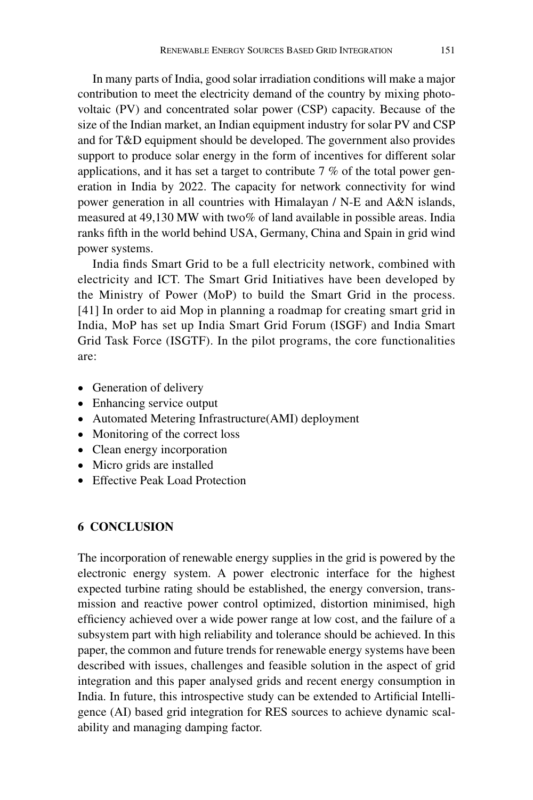In many parts of India, good solar irradiation conditions will make a major contribution to meet the electricity demand of the country by mixing photovoltaic (PV) and concentrated solar power (CSP) capacity. Because of the size of the Indian market, an Indian equipment industry for solar PV and CSP and for T&D equipment should be developed. The government also provides support to produce solar energy in the form of incentives for different solar applications, and it has set a target to contribute 7 % of the total power generation in India by 2022. The capacity for network connectivity for wind power generation in all countries with Himalayan / N-E and A&N islands, measured at 49,130 MW with two% of land available in possible areas. India ranks fifth in the world behind USA, Germany, China and Spain in grid wind power systems.

India finds Smart Grid to be a full electricity network, combined with electricity and ICT. The Smart Grid Initiatives have been developed by the Ministry of Power (MoP) to build the Smart Grid in the process. [41] In order to aid Mop in planning a roadmap for creating smart grid in India, MoP has set up India Smart Grid Forum (ISGF) and India Smart Grid Task Force (ISGTF). In the pilot programs, the core functionalities are:

- Generation of delivery
- Enhancing service output
- Automated Metering Infrastructure(AMI) deployment
- Monitoring of the correct loss
- Clean energy incorporation
- Micro grids are installed
- Effective Peak Load Protection

# **6 CONCLUSION**

The incorporation of renewable energy supplies in the grid is powered by the electronic energy system. A power electronic interface for the highest expected turbine rating should be established, the energy conversion, transmission and reactive power control optimized, distortion minimised, high efficiency achieved over a wide power range at low cost, and the failure of a subsystem part with high reliability and tolerance should be achieved. In this paper, the common and future trends for renewable energy systems have been described with issues, challenges and feasible solution in the aspect of grid integration and this paper analysed grids and recent energy consumption in India. In future, this introspective study can be extended to Artificial Intelligence (AI) based grid integration for RES sources to achieve dynamic scalability and managing damping factor.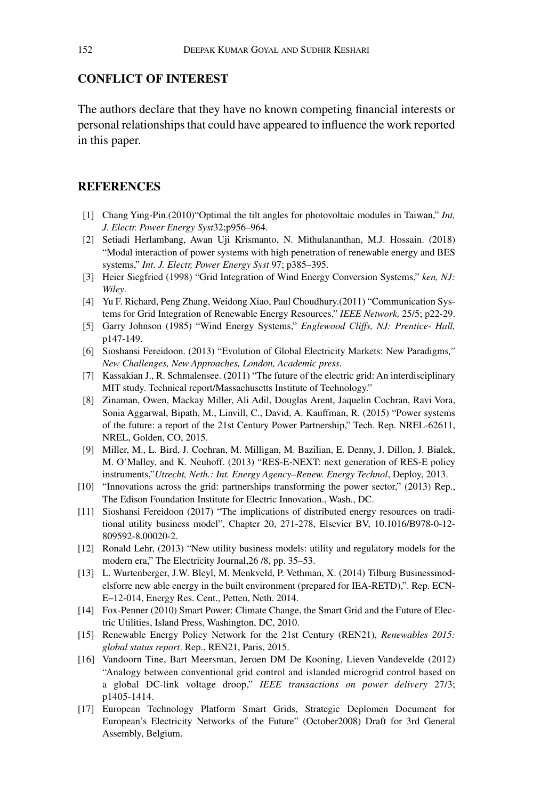## **Conflict of interest**

The authors declare that they have no known competing financial interests or personal relationships that could have appeared to influence the work reported in this paper.

# **References**

- [1] Chang Ying-Pin.(2010)"Optimal the tilt angles for photovoltaic modules in Taiwan," *Int, J. Electr. Power Energy Syst*32;p956–964.
- [2] Setiadi Herlambang, Awan Uji Krismanto, N. Mithulananthan, M.J. Hossain. (2018) "Modal interaction of power systems with high penetration of renewable energy and BES systems," *Int. J. Electr, Power Energy Syst* 97; p385–395.
- [3] Heier Siegfried (1998) "Grid Integration of Wind Energy Conversion Systems," *ken, NJ: Wiley*.
- [4] Yu F. Richard, Peng Zhang, Weidong Xiao, Paul Choudhury.(2011) "Communication Systems for Grid Integration of Renewable Energy Resources," *IEEE Network,* 25/5; p22-29.
- [5] Garry Johnson (1985) "Wind Energy Systems," *Englewood Cliffs, NJ: Prentice- Hall,*  p147-149.
- [6] Sioshansi Fereidoon. (2013) "Evolution of Global Electricity Markets: New Paradigms*," New Challenges, New Approaches, London, Academic press*.
- [7] Kassakian J., R. Schmalensee. (2011) "The future of the electric grid: An interdisciplinary MIT study. Technical report/Massachusetts Institute of Technology."
- [8] Zinaman, Owen, Mackay Miller, Ali Adil, Douglas Arent, Jaquelin Cochran, Ravi Vora, Sonia Aggarwal, Bipath, M., Linvill, C., David, A. Kauffman, R. (2015) "Power systems of the future: a report of the 21st Century Power Partnership," Tech. Rep. NREL-62611, NREL, Golden, CO, 2015.
- [9] Miller, M., L. Bird, J. Cochran, M. Milligan, M. Bazilian, E. Denny, J. Dillon, J. Bialek, M. O'Malley, and K. Neuhoff. (2013) "RES-E-NEXT: next generation of RES-E policy instruments,"*Utrecht, Neth.: Int. Energy Agency–Renew. Energy Technol*, Deploy, 2013.
- [10] "Innovations across the grid: partnerships transforming the power sector," (2013) Rep., The Edison Foundation Institute for Electric Innovation., Wash., DC.
- [11] Sioshansi Fereidoon (2017) "The implications of distributed energy resources on traditional utility business model", Chapter 20, 271-278, Elsevier BV, 10.1016/B978-0-12- 809592-8.00020-2.
- [12] Ronald Lehr, (2013) "New utility business models: utility and regulatory models for the modern era," The Electricity Journal,26 /8, pp. 35–53.
- [13] L. Wurtenberger, J.W. Bleyl, M. Menkveld, P. Vethman, X. (2014) Tilburg Businessmodelsforre new able energy in the built environment (prepared for IEA-RETD),". Rep. ECN-E–12-014, Energy Res. Cent., Petten, Neth. 2014.
- [14] Fox-Penner (2010) Smart Power: Climate Change, the Smart Grid and the Future of Electric Utilities, Island Press, Washington, DC, 2010.
- [15] Renewable Energy Policy Network for the 21st Century (REN21), *Renewables 2015: global status report*. Rep., REN21, Paris, 2015.
- [16] Vandoorn Tine, Bart Meersman, Jeroen DM De Kooning, Lieven Vandevelde (2012) "Analogy between conventional grid control and islanded microgrid control based on a global DC-link voltage droop," *IEEE transactions on power delivery* 27/3; p1405-1414.
- [17] European Technology Platform Smart Grids, Strategic Deplomen Document for European's Electricity Networks of the Future" (October2008) Draft for 3rd General Assembly, Belgium.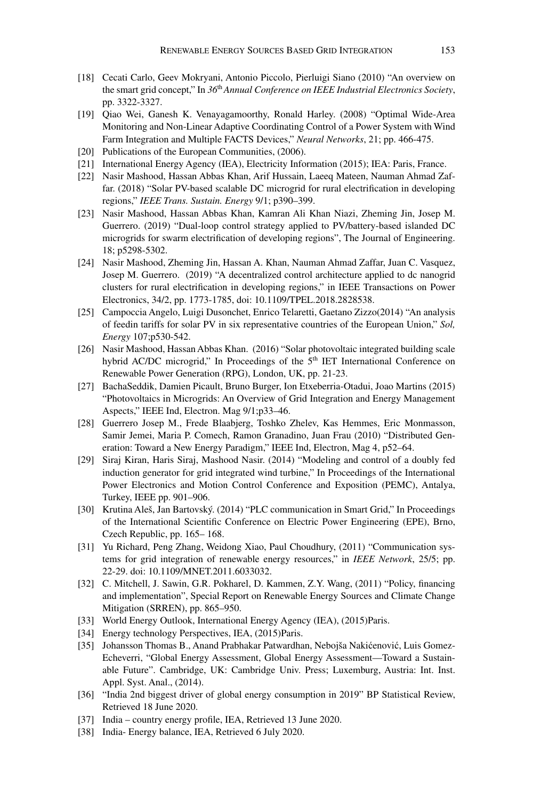- [18] Cecati Carlo, Geev Mokryani, Antonio Piccolo, Pierluigi Siano (2010) "An overview on the smart grid concept," In *36*th *Annual Conference on IEEE Industrial Electronics Society*, pp. 3322-3327.
- [19] Qiao Wei, Ganesh K. Venayagamoorthy, Ronald Harley. (2008) "Optimal Wide-Area Monitoring and Non-Linear Adaptive Coordinating Control of a Power System with Wind Farm Integration and Multiple FACTS Devices," *Neural Networks*, 21; pp. 466-475.
- [20] Publications of the European Communities, (2006).
- [21] International Energy Agency (IEA), Electricity Information (2015); IEA: Paris, France.
- [22] Nasir Mashood, Hassan Abbas Khan, Arif Hussain, Laeeq Mateen, Nauman Ahmad Zaffar. (2018) "Solar PV-based scalable DC microgrid for rural electrification in developing regions," *IEEE Trans. Sustain. Energy* 9/1; p390–399.
- [23] Nasir Mashood, Hassan Abbas Khan, Kamran Ali Khan Niazi, Zheming Jin, Josep M. Guerrero. (2019) "Dual-loop control strategy applied to PV/battery-based islanded DC microgrids for swarm electrification of developing regions", The Journal of Engineering. 18; p5298-5302.
- [24] Nasir Mashood, Zheming Jin, Hassan A. Khan, Nauman Ahmad Zaffar, Juan C. Vasquez, Josep M. Guerrero. (2019) "A decentralized control architecture applied to dc nanogrid clusters for rural electrification in developing regions," in IEEE Transactions on Power Electronics, 34/2, pp. 1773-1785, doi: 10.1109/TPEL.2018.2828538.
- [25] Campoccia Angelo, Luigi Dusonchet, Enrico Telaretti, Gaetano Zizzo(2014) "An analysis of feedin tariffs for solar PV in six representative countries of the European Union," *Sol, Energy* 107;p530-542.
- [26] Nasir Mashood, Hassan Abbas Khan. (2016) "Solar photovoltaic integrated building scale hybrid AC/DC microgrid," In Proceedings of the 5<sup>th</sup> IET International Conference on Renewable Power Generation (RPG), London, UK, pp. 21-23.
- [27] BachaSeddik, Damien Picault, Bruno Burger, Ion Etxeberria-Otadui, Joao Martins (2015) "Photovoltaics in Microgrids: An Overview of Grid Integration and Energy Management Aspects," IEEE Ind, Electron. Mag 9/1;p33–46.
- [28] Guerrero Josep M., Frede Blaabjerg, Toshko Zhelev, Kas Hemmes, Eric Monmasson, Samir Jemei, Maria P. Comech, Ramon Granadino, Juan Frau (2010) "Distributed Generation: Toward a New Energy Paradigm," IEEE Ind, Electron, Mag 4, p52–64.
- [29] Siraj Kiran, Haris Siraj, Mashood Nasir. (2014) "Modeling and control of a doubly fed induction generator for grid integrated wind turbine," In Proceedings of the International Power Electronics and Motion Control Conference and Exposition (PEMC), Antalya, Turkey, IEEE pp. 901–906.
- [30] Krutina Aleš, Jan Bartovský. (2014) "PLC communication in Smart Grid," In Proceedings of the International Scientific Conference on Electric Power Engineering (EPE), Brno, Czech Republic, pp. 165– 168.
- [31] Yu Richard, Peng Zhang, Weidong Xiao, Paul Choudhury, (2011) "Communication systems for grid integration of renewable energy resources," in *IEEE Network*, 25/5; pp. 22-29. doi: 10.1109/MNET.2011.6033032.
- [32] C. Mitchell, J. Sawin, G.R. Pokharel, D. Kammen, Z.Y. Wang, (2011) "Policy, financing and implementation", Special Report on Renewable Energy Sources and Climate Change Mitigation (SRREN), pp. 865–950.
- [33] World Energy Outlook, International Energy Agency (IEA), (2015) Paris.
- [34] Energy technology Perspectives, IEA, (2015)Paris.
- [35] Johansson Thomas B., Anand Prabhakar Patwardhan, Nebojša Nakićenović, Luis Gomez-Echeverri, "Global Energy Assessment, Global Energy Assessment—Toward a Sustainable Future". Cambridge, UK: Cambridge Univ. Press; Luxemburg, Austria: Int. Inst. Appl. Syst. Anal., (2014).
- [36] "India 2nd biggest driver of global energy consumption in 2019" BP Statistical Review, Retrieved 18 June 2020.
- [37] India country energy profile, IEA, Retrieved 13 June 2020.
- [38] India- Energy balance, IEA, Retrieved 6 July 2020.